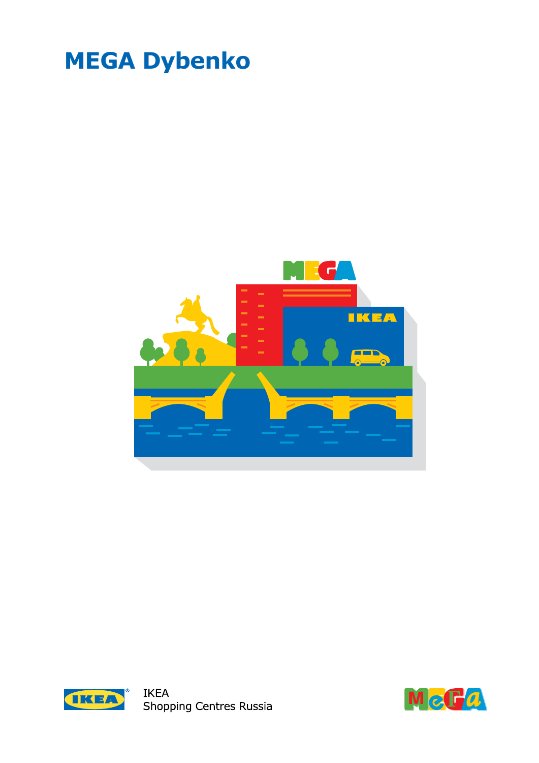# **MEGA Dybenko**





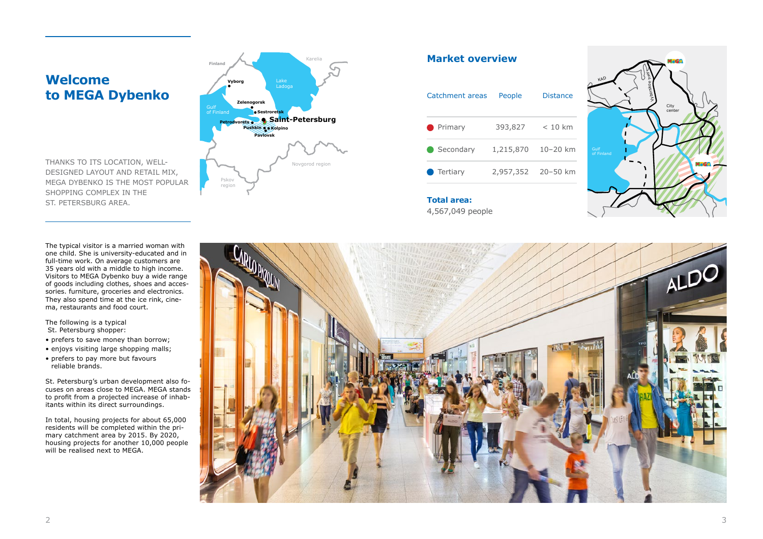## **Welcome to MEGA Dybenko**

The typical visitor is a married woman with one child. She is university-educated and in full-time work. On average customers are 35 years old with a middle to high income. Visitors to MEGA Dybenko buy a wide range of goods including clothes, shoes and accessories. furniture, groceries and electronics. They also spend time at the ice rink, cinema, restaurants and food court.

In total, housing projects for about 65,000 residents will be completed within the primary catchment area by 2015. By 2020, housing projects for another 10,000 people will be realised next to MEGA.



The following is a typical St. Petersburg shopper:

- prefers to save money than borrow;
- enjoys visiting large shopping malls;
- prefers to pay more but favours reliable brands.

St. Petersburg's urban development also focuses on areas close to MEGA. MEGA stands to profit from a projected increase of inhabitants within its direct surroundings.

**Total area:** 4,567,049 people

| People             | Distance  |
|--------------------|-----------|
| 393,827            | $< 10$ km |
| 1,215,870          | 10-20 km  |
| 2,957,352 20-50 km |           |
|                    |           |

THANKS TO ITS LOCATION, WELL-DESIGNED LAYOUT AND RETAIL MIX, MEGA DYBENKO IS THE MOST POPULAR SHOPPING COMPLEX IN THE ST. PETERSBURG AREA.

### **Market overview**



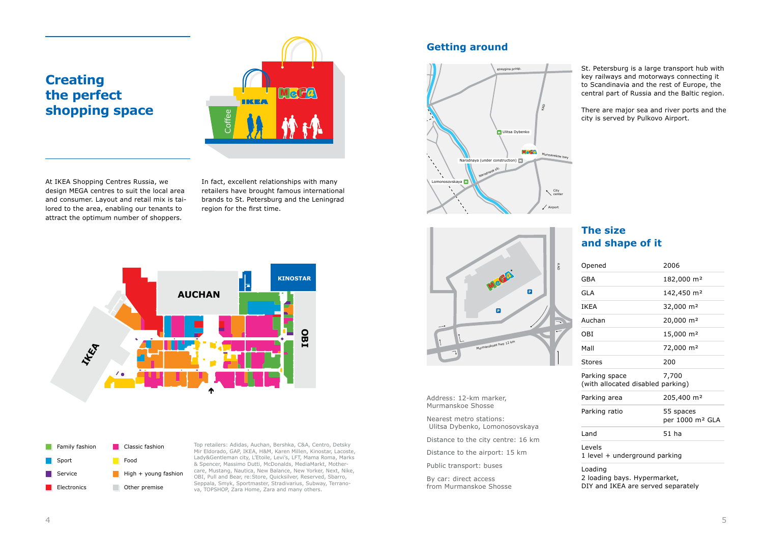| Opened                                             | 2006                                     |
|----------------------------------------------------|------------------------------------------|
| GBA                                                | 182,000 m <sup>2</sup>                   |
| <b>GLA</b>                                         | 142,450 m <sup>2</sup>                   |
| IKEA                                               | 32,000 m <sup>2</sup>                    |
| Auchan                                             | 20,000 m <sup>2</sup>                    |
| OBI                                                | 15,000 m <sup>2</sup>                    |
| Mall                                               | 72,000 m <sup>2</sup>                    |
| <b>Stores</b>                                      | 200                                      |
| Parking space<br>(with allocated disabled parking) | 7,700                                    |
| Parking area                                       | 205,400 m <sup>2</sup>                   |
| Parking ratio                                      | 55 spaces<br>per 1000 m <sup>2</sup> GLA |
| Land                                               | 51 ha                                    |
| Levels<br>1 level + underground parking            |                                          |
| Loading<br>2 loading have Hynermarket              |                                          |

2 loading bays. Hypermarket, DIY and IKEA are served separately

At IKEA Shopping Centres Russia, we design MEGA centres to suit the local area and consumer. Layout and retail mix is tailored to the area, enabling our tenants to attract the optimum number of shoppers.

In fact, excellent relationships with many retailers have brought famous international brands to St. Petersburg and the Leningrad region for the first time.

### **The size and shape of it**

Top retailers: Adidas, Auchan, Bershka, C&A, Centro, Detsky Mir Eldorado, GAP, IKEA, H&M, Karen Millen, Kinostar, Lacoste, Lady&Gentleman city, L'Etoile, Levi's, LFT, Mama Roma, Marks & Spencer, Massimo Dutti, McDonalds, MediaMarkt, Mothercare, Mustang, Nautica, New Balance, New Yorker, Next, Nike, OBI, Pull and Bear, re:Store, Quicksilver, Reserved, Sbarro, Seppala, Smyk, Sportmaster, Stradivarius, Subway, Terranova, TOPSHOP, Zara Home, Zara and many others.

## **Creating the perfect shopping space**

St. Petersburg is a large transport hub with key railways and motorways connecting it to Scandinavia and the rest of Europe, the central part of Russia and the Baltic region.

There are major sea and river ports and the city is served by Pulkovo Airport.

### **Getting around**

Address: 12-km marker, Murmanskoe Shosse

Nearest metro stations: Ulitsa Dybenko, Lomonosovskaya

Distance to the city centre: 16 km

Distance to the airport: 15 km

Public transport: buses

By car: direct access from Murmanskoe Shosse









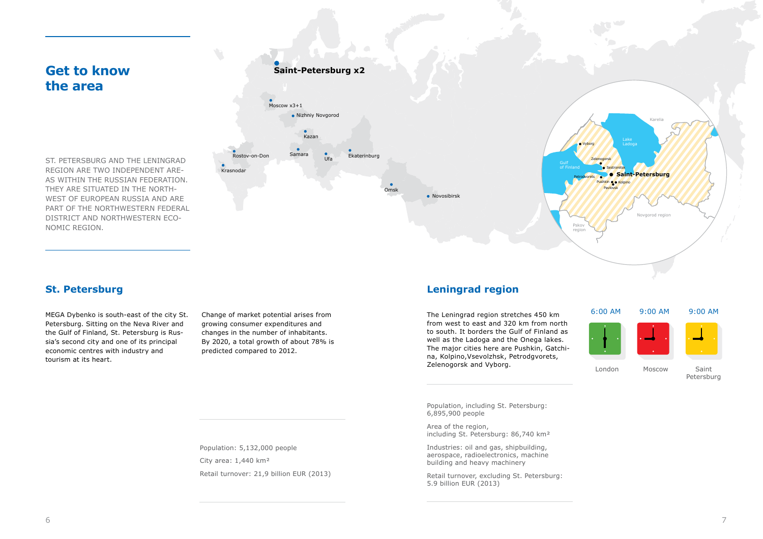MEGA Dybenko is south-east of the city St. Petersburg. Sitting on the Neva River and the Gulf of Finland, St. Petersburg is Russia's second city and one of its principal economic centres with industry and tourism at its heart.

Change of market potential arises from growing consumer expenditures and changes in the number of inhabitants. By 2020, a total growth of about 78% is predicted compared to 2012.

## **Get to know the area**

Population, including St. Petersburg: 6,895,900 people

Area of the region, including St. Petersburg: 86,740 km²

Industries: oil and gas, shipbuilding, aerospace, radioelectronics, machine building and heavy machinery

Retail turnover, excluding St. Petersburg: 5.9 billion EUR (2013)

## **•** Novosibirsk Moscow x3+1 **Saint-Petersburg x2** Nizhniy Novgorod Kazan **Rostov-on-Don** Samara **Ufa** Omsk Ekaterinburg Krasnodar Gulf of Finland

ST. PETERSBURG AND THE LENINGRAD REGION ARE TWO INDEPENDENT ARE-AS WITHIN THE RUSSIAN FEDERATION. THEY ARE SITUATED IN THE NORTH-WEST OF EUROPEAN RUSSIA AND ARE PART OF THE NORTHWESTERN FEDERAL DISTRICT AND NORTHWESTERN ECO-NOMIC REGION.

> The Leningrad region stretches 450 km from west to east and 320 km from north to south. It borders the Gulf of Finland as well as the Ladoga and the Onega lakes. The major cities here are Pushkin, Gatchina, Kolpino,Vsevolzhsk, Petrodgvorets, Zelenogorsk and Vyborg.

### **St. Petersburg Leningrad region**

Population: 5,132,000 people City area: 1,440 km² Retail turnover: 21,9 billion EUR (2013)



London Moscow Saint Petersburg

#### 6:00 AM 9:00 AM 9:00 AM